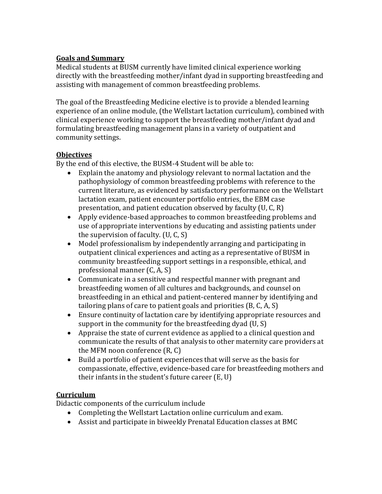## **Goals and Summary**

Medical students at BUSM currently have limited clinical experience working directly with the breastfeeding mother/infant dyad in supporting breastfeeding and assisting with management of common breastfeeding problems.

The goal of the Breastfeeding Medicine elective is to provide a blended learning experience of an online module, (the Wellstart lactation curriculum), combined with clinical experience working to support the breastfeeding mother/infant dyad and formulating breastfeeding management plans in a variety of outpatient and community settings.

## **Objectives**

By the end of this elective, the BUSM-4 Student will be able to:

- Explain the anatomy and physiology relevant to normal lactation and the pathophysiology of common breastfeeding problems with reference to the current literature, as evidenced by satisfactory performance on the Wellstart lactation exam, patient encounter portfolio entries, the EBM case presentation, and patient education observed by faculty (U, C, R)
- Apply evidence-based approaches to common breastfeeding problems and use of appropriate interventions by educating and assisting patients under the supervision of faculty. (U, C, S)
- Model professionalism by independently arranging and participating in outpatient clinical experiences and acting as a representative of BUSM in community breastfeeding support settings in a responsible, ethical, and professional manner (C, A, S)
- Communicate in a sensitive and respectful manner with pregnant and breastfeeding women of all cultures and backgrounds, and counsel on breastfeeding in an ethical and patient-centered manner by identifying and tailoring plans of care to patient goals and priorities (B, C, A, S)
- Ensure continuity of lactation care by identifying appropriate resources and support in the community for the breastfeeding dyad (U, S)
- Appraise the state of current evidence as applied to a clinical question and communicate the results of that analysis to other maternity care providers at the MFM noon conference (R, C)
- Build a portfolio of patient experiences that will serve as the basis for compassionate, effective, evidence-based care for breastfeeding mothers and their infants in the student's future career (E, U)

## **Curriculum**

Didactic components of the curriculum include

- Completing the Wellstart Lactation online curriculum and exam.
- Assist and participate in biweekly Prenatal Education classes at BMC